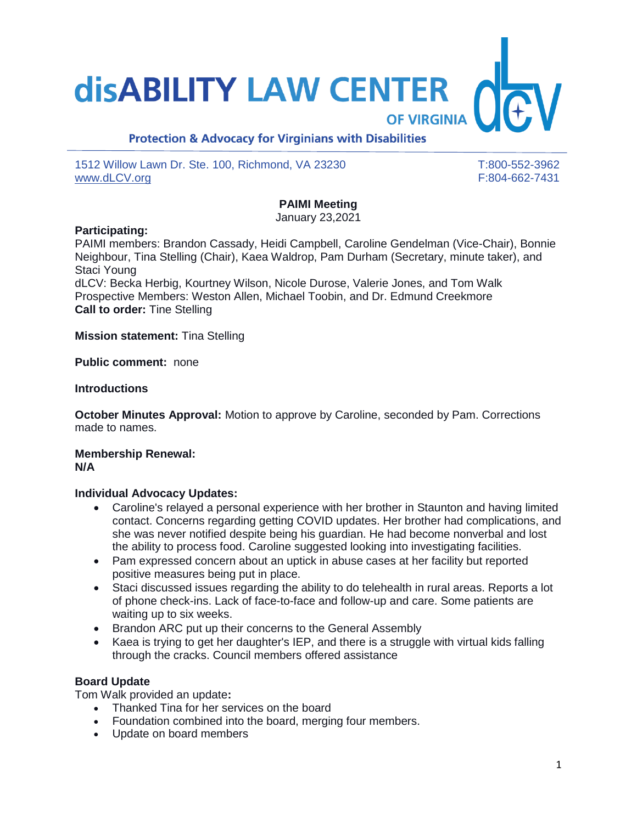# **disABILITY LAW CENTER**

## **Protection & Advocacy for Virginians with Disabilities**

1512 Willow Lawn Dr. Ste. 100, Richmond, VA 23230 T:800-552-3962 [www.dLCV.org](http://www.dlcv.org/) F:804-662-7431

**OF VIRGINIA** 

## **PAIMI Meeting**

January 23,2021

#### **Participating:**

PAIMI members: Brandon Cassady, Heidi Campbell, Caroline Gendelman (Vice-Chair), Bonnie Neighbour, Tina Stelling (Chair), Kaea Waldrop, Pam Durham (Secretary, minute taker), and Staci Young

dLCV: Becka Herbig, Kourtney Wilson, Nicole Durose, Valerie Jones, and Tom Walk Prospective Members: Weston Allen, Michael Toobin, and Dr. Edmund Creekmore **Call to order:** Tine Stelling

**Mission statement:** Tina Stelling

**Public comment:** none

#### **Introductions**

**October Minutes Approval:** Motion to approve by Caroline, seconded by Pam. Corrections made to names.

#### **Membership Renewal: N/A**

#### **Individual Advocacy Updates:**

- Caroline's relayed a personal experience with her brother in Staunton and having limited contact. Concerns regarding getting COVID updates. Her brother had complications, and she was never notified despite being his guardian. He had become nonverbal and lost the ability to process food. Caroline suggested looking into investigating facilities.
- Pam expressed concern about an uptick in abuse cases at her facility but reported positive measures being put in place.
- Staci discussed issues regarding the ability to do telehealth in rural areas. Reports a lot of phone check-ins. Lack of face-to-face and follow-up and care. Some patients are waiting up to six weeks.
- Brandon ARC put up their concerns to the General Assembly
- Kaea is trying to get her daughter's IEP, and there is a struggle with virtual kids falling through the cracks. Council members offered assistance

#### **Board Update**

Tom Walk provided an update**:**

- Thanked Tina for her services on the board
- Foundation combined into the board, merging four members.
- Update on board members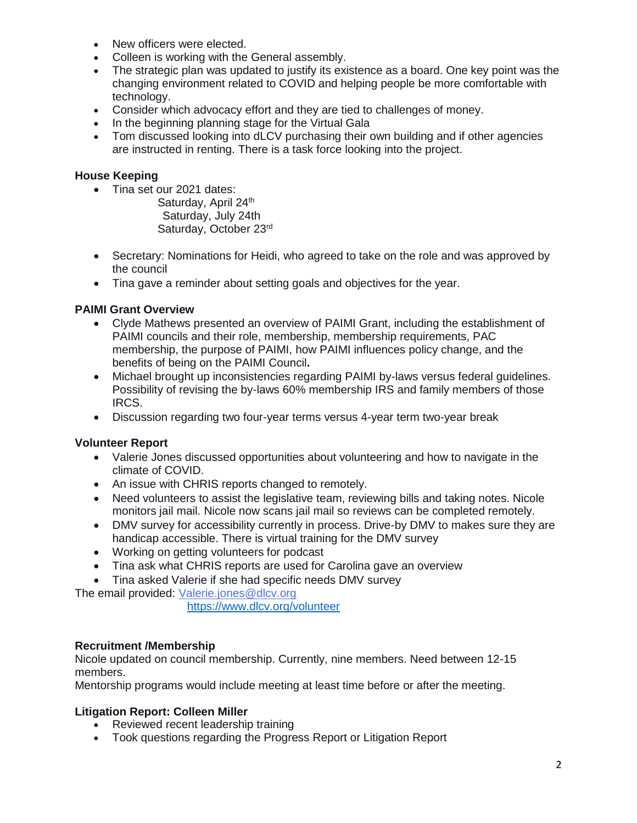- New officers were elected.
- Colleen is working with the General assembly.
- The strategic plan was updated to justify its existence as a board. One key point was the changing environment related to COVID and helping people be more comfortable with technology.
- Consider which advocacy effort and they are tied to challenges of money.
- In the beginning planning stage for the Virtual Gala
- Tom discussed looking into dLCV purchasing their own building and if other agencies are instructed in renting. There is a task force looking into the project.

#### **House Keeping**

• Tina set our 2021 dates:

Saturday, April 24th Saturday, July 24th Saturday, October 23rd

- Secretary: Nominations for Heidi, who agreed to take on the role and was approved by the council
- Tina gave a reminder about setting goals and objectives for the year.

#### **PAIMI Grant Overview**

- Clyde Mathews presented an overview of PAIMI Grant, including the establishment of PAIMI councils and their role, membership, membership requirements, PAC membership, the purpose of PAIMI, how PAIMI influences policy change, and the benefits of being on the PAIMI Council**.**
- Michael brought up inconsistencies regarding PAIMI by-laws versus federal guidelines. Possibility of revising the by-laws 60% membership IRS and family members of those IRCS.
- Discussion regarding two four-year terms versus 4-year term two-year break

#### **Volunteer Report**

- Valerie Jones discussed opportunities about volunteering and how to navigate in the climate of COVID.
- An issue with CHRIS reports changed to remotely.
- Need volunteers to assist the legislative team, reviewing bills and taking notes. Nicole monitors jail mail. Nicole now scans jail mail so reviews can be completed remotely.
- DMV survey for accessibility currently in process. Drive-by DMV to makes sure they are handicap accessible. There is virtual training for the DMV survey
- Working on getting volunteers for podcast
- Tina ask what CHRIS reports are used for Carolina gave an overview
- Tina asked Valerie if she had specific needs DMV survey

The email provided: [Valerie.jones@dlcv.org](mailto:Valerie.jones@dlcv.org)

<https://www.dlcv.org/volunteer>

#### **Recruitment /Membership**

Nicole updated on council membership. Currently, nine members. Need between 12-15 members.

Mentorship programs would include meeting at least time before or after the meeting.

#### **Litigation Report: Colleen Miller**

- Reviewed recent leadership training
- Took questions regarding the Progress Report or Litigation Report